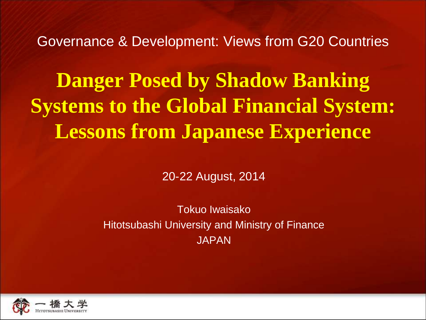Governance & Development: Views from G20 Countries

**Danger Posed by Shadow Banking Systems to the Global Financial System: Lessons from Japanese Experience**

20-22 August, 2014

Tokuo Iwaisako Hitotsubashi University and Ministry of Finance JAPAN

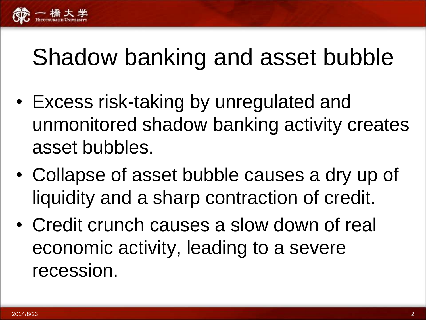

#### Shadow banking and asset bubble

- Excess risk-taking by unregulated and unmonitored shadow banking activity creates asset bubbles.
- Collapse of asset bubble causes a dry up of liquidity and a sharp contraction of credit.
- Credit crunch causes a slow down of real economic activity, leading to a severe recession.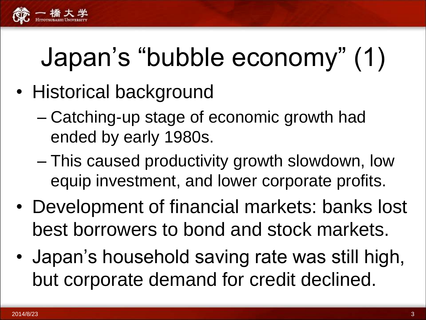

# Japan's "bubble economy" (1)

- Historical background
	- Catching-up stage of economic growth had ended by early 1980s.
	- This caused productivity growth slowdown, low equip investment, and lower corporate profits.
- Development of financial markets: banks lost best borrowers to bond and stock markets.
- Japan's household saving rate was still high, but corporate demand for credit declined.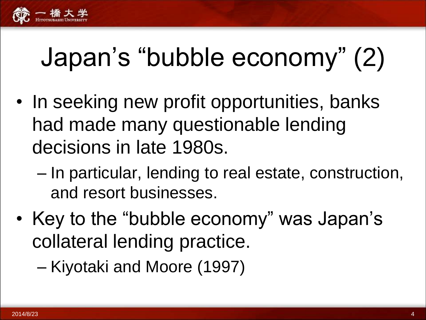

## Japan's "bubble economy" (2)

- In seeking new profit opportunities, banks had made many questionable lending decisions in late 1980s.
	- In particular, lending to real estate, construction, and resort businesses.
- Key to the "bubble economy" was Japan's collateral lending practice.

– Kiyotaki and Moore (1997)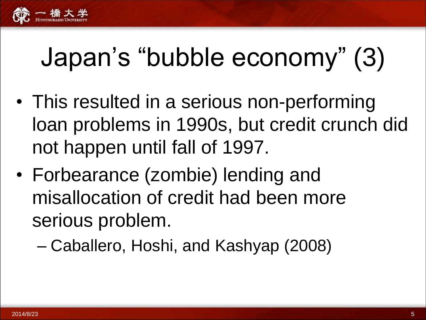

## Japan's "bubble economy" (3)

- This resulted in a serious non-performing loan problems in 1990s, but credit crunch did not happen until fall of 1997.
- Forbearance (zombie) lending and misallocation of credit had been more serious problem.
	- Caballero, Hoshi, and Kashyap (2008)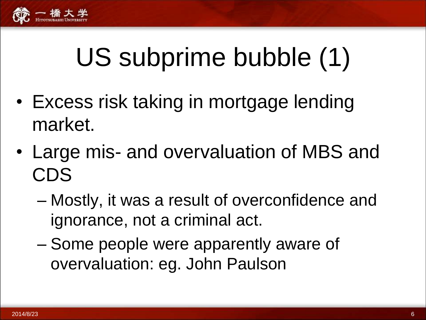

## US subprime bubble (1)

- Excess risk taking in mortgage lending market.
- Large mis- and overvaluation of MBS and CDS
	- Mostly, it was a result of overconfidence and ignorance, not a criminal act.
	- Some people were apparently aware of overvaluation: eg. John Paulson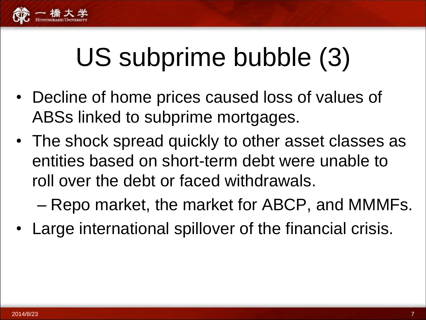

## US subprime bubble (3)

- Decline of home prices caused loss of values of ABSs linked to subprime mortgages.
- The shock spread quickly to other asset classes as entities based on short-term debt were unable to roll over the debt or faced withdrawals.
	- Repo market, the market for ABCP, and MMMFs.
- Large international spillover of the financial crisis.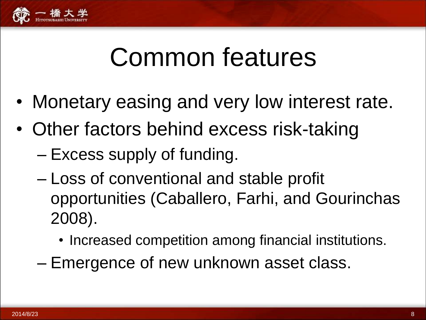

#### Common features

- Monetary easing and very low interest rate.
- Other factors behind excess risk-taking
	- Excess supply of funding.
	- Loss of conventional and stable profit opportunities (Caballero, Farhi, and Gourinchas 2008).
		- Increased competition among financial institutions.
	- Emergence of new unknown asset class.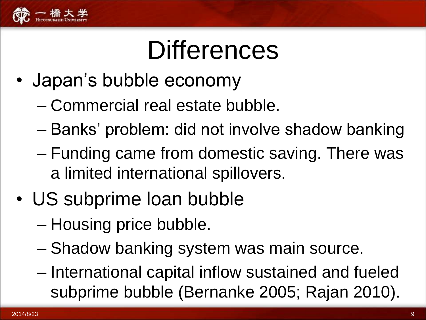

#### **Differences**

- Japan's bubble economy
	- Commercial real estate bubble.
	- Banks' problem: did not involve shadow banking
	- Funding came from domestic saving. There was a limited international spillovers.
- US subprime loan bubble
	- Housing price bubble.
	- Shadow banking system was main source.
	- International capital inflow sustained and fueled subprime bubble (Bernanke 2005; Rajan 2010).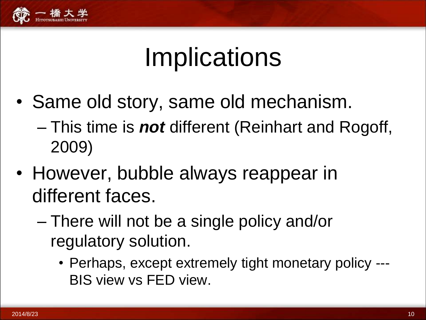

#### **Implications**

- Same old story, same old mechanism.
	- This time is *not* different (Reinhart and Rogoff, 2009)
- However, bubble always reappear in different faces.
	- There will not be a single policy and/or regulatory solution.
		- Perhaps, except extremely tight monetary policy --- BIS view vs FED view.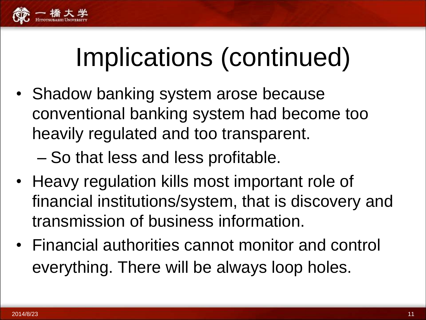

## Implications (continued)

• Shadow banking system arose because conventional banking system had become too heavily regulated and too transparent.

– So that less and less profitable.

- Heavy regulation kills most important role of financial institutions/system, that is discovery and transmission of business information.
- Financial authorities cannot monitor and control everything. There will be always loop holes.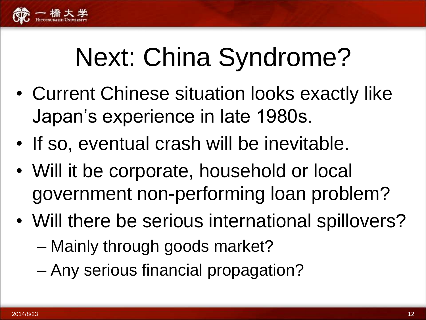

## Next: China Syndrome?

- Current Chinese situation looks exactly like Japan's experience in late 1980s.
- If so, eventual crash will be inevitable.
- Will it be corporate, household or local government non-performing loan problem?
- Will there be serious international spillovers?
	- Mainly through goods market?
	- Any serious financial propagation?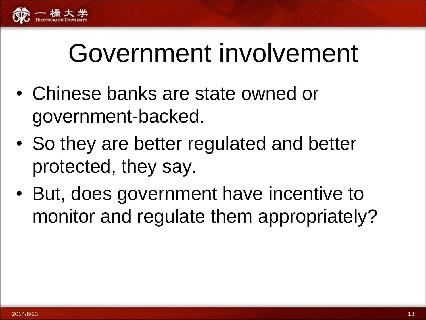

### Government involvement

- Chinese banks are state owned or government-backed.
- So they are better regulated and better protected, they say.
- But, does government have incentive to monitor and regulate them appropriately?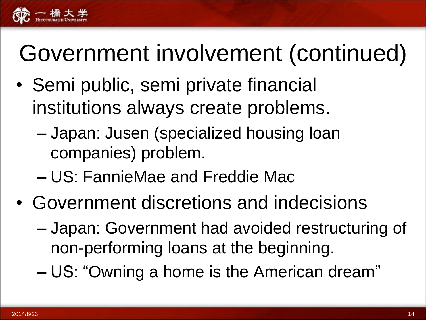

#### Government involvement (continued)

- Semi public, semi private financial institutions always create problems.
	- Japan: Jusen (specialized housing loan companies) problem.
	- US: FannieMae and Freddie Mac
- Government discretions and indecisions
	- Japan: Government had avoided restructuring of non-performing loans at the beginning.
	- US: "Owning a home is the American dream"